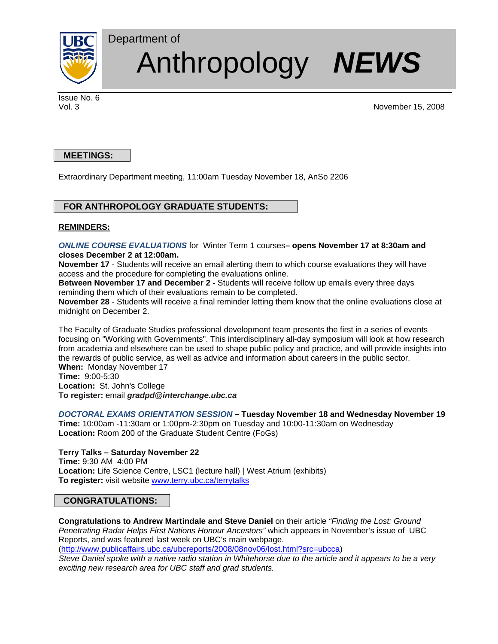

# Anthropology *NEWS*

Issue No. 6

Vol. 3 November 15, 2008

# **MEETINGS:**

Extraordinary Department meeting, 11:00am Tuesday November 18, AnSo 2206

## **FOR ANTHROPOLOGY GRADUATE STUDENTS:**

Department of

## **REMINDERS:**

*ONLINE COURSE EVALUATIONS* for Winter Term 1 courses**– opens November 17 at 8:30am and closes December 2 at 12:00am.**

**November 17** - Students will receive an email alerting them to which course evaluations they will have access and the procedure for completing the evaluations online.

**Between November 17 and December 2 -** Students will receive follow up emails every three days reminding them which of their evaluations remain to be completed.

**November 28** - Students will receive a final reminder letting them know that the online evaluations close at midnight on December 2.

The Faculty of Graduate Studies professional development team presents the first in a series of events focusing on "Working with Governments". This interdisciplinary all-day symposium will look at how research from academia and elsewhere can be used to shape public policy and practice, and will provide insights into the rewards of public service, as well as advice and information about careers in the public sector. **When:** Monday November 17

**Time:** 9:00-5:30 **Location:** St. John's College **To register:** email *gradpd@interchange.ubc.ca*

## *DOCTORAL EXAMS ORIENTATION SESSION* **– Tuesday November 18 and Wednesday November 19**

**Time:** 10:00am -11:30am or 1:00pm-2:30pm on Tuesday and 10:00-11:30am on Wednesday **Location:** Room 200 of the Graduate Student Centre (FoGs)

**Terry Talks – Saturday November 22 Time:** 9:30 AM 4:00 PM **Location:** Life Science Centre, LSC1 (lecture hall) | West Atrium (exhibits) **To register:** visit website www.terry.ubc.ca/terrytalks

# **CONGRATULATIONS:**

**Congratulations to Andrew Martindale and Steve Daniel** on their article *"Finding the Lost: Ground Penetrating Radar Helps First Nations Honour Ancestors"* which appears in November's issue of UBC Reports, and was featured last week on UBC's main webpage.

(http://www.publicaffairs.ubc.ca/ubcreports/2008/08nov06/lost.html?src=ubcca) *Steve Daniel spoke with a native radio station in Whitehorse due to the article and it appears to be a very* 

*exciting new research area for UBC staff and grad students.*